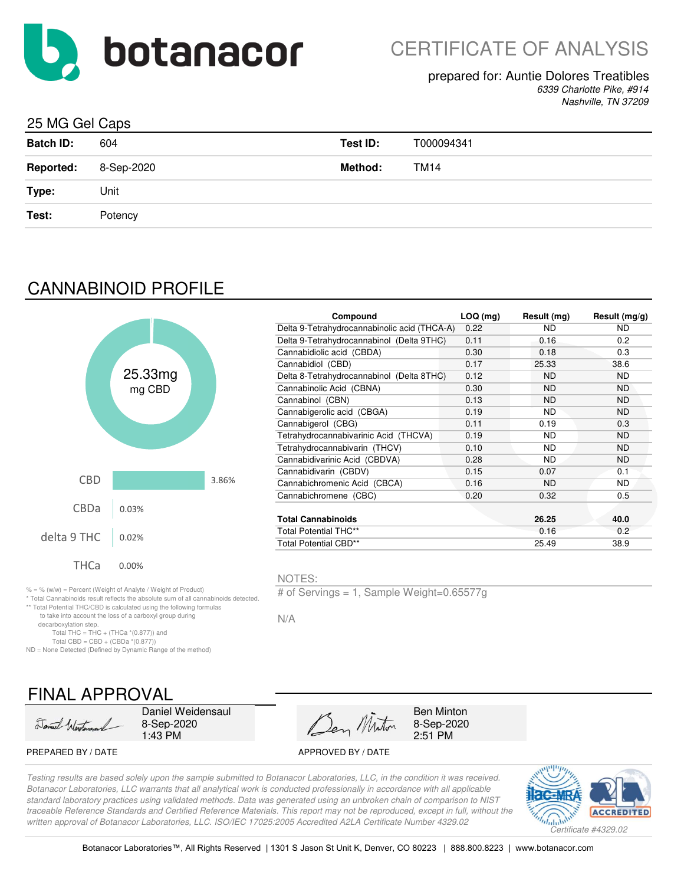

## prepared for: Auntie Dolores Treatibles

*6339 Charlotte Pike, #914 Nashville, TN 37209*

## 25 MG Gel Caps

| <b>Batch ID:</b> | 604        | Test ID: | T000094341  |
|------------------|------------|----------|-------------|
| <b>Reported:</b> | 8-Sep-2020 | Method:  | <b>TM14</b> |
| Type:            | Unit       |          |             |
| Test:            | Potency    |          |             |
|                  |            |          |             |

# CANNABINOID PROFILE



|         |       | Compound                                     | $LOQ$ (mg) | Result (mg) | Result $(mg/g)$ |
|---------|-------|----------------------------------------------|------------|-------------|-----------------|
|         |       | Delta 9-Tetrahydrocannabinolic acid (THCA-A) | 0.22       | ND.         | ND.             |
|         |       | Delta 9-Tetrahydrocannabinol (Delta 9THC)    | 0.11       | 0.16        | 0.2             |
|         |       | Cannabidiolic acid (CBDA)                    | 0.30       | 0.18        | 0.3             |
|         |       | Cannabidiol (CBD)                            | 0.17       | 25.33       | 38.6            |
| :5.33mg |       | Delta 8-Tetrahydrocannabinol (Delta 8THC)    | 0.12       | <b>ND</b>   | ND.             |
| mg CBD  |       | Cannabinolic Acid (CBNA)                     | 0.30       | <b>ND</b>   | ND.             |
|         |       | Cannabinol (CBN)                             | 0.13       | ND.         | ND.             |
|         |       | Cannabigerolic acid (CBGA)                   | 0.19       | <b>ND</b>   | ND.             |
|         |       | Cannabigerol (CBG)                           | 0.11       | 0.19        | 0.3             |
|         |       | Tetrahydrocannabivarinic Acid (THCVA)        | 0.19       | <b>ND</b>   | ND.             |
|         |       | Tetrahydrocannabivarin (THCV)                | 0.10       | <b>ND</b>   | ND.             |
|         |       | Cannabidivarinic Acid (CBDVA)                | 0.28       | <b>ND</b>   | ND.             |
|         |       | Cannabidivarin (CBDV)                        | 0.15       | 0.07        | 0.1             |
|         | 3.86% | Cannabichromenic Acid (CBCA)                 | 0.16       | <b>ND</b>   | ND.             |
|         |       | Cannabichromene (CBC)                        | 0.20       | 0.32        | 0.5             |
| )3%     |       |                                              |            |             |                 |
|         |       | <b>Total Cannabinoids</b>                    |            | 26.25       | 40.0            |
|         |       | <b>Total Potential THC**</b>                 |            | 0.16        | 0.2             |
| 2%      |       | <b>Total Potential CBD**</b>                 |            | 25.49       | 38.9            |

#### NOTES:

N/A

# of Servings = 1, Sample Weight=0.65577g

Ben Minton 8-Sep-2020 2:51 PM

\* Total Cannabinoids result reflects the absolute sum of all cannabinoids detected. \*\* Total Potential THC/CBD is calculated using the following formulas

to take into account the loss of a carboxyl group during

decarboxylation step.

Total THC = THC + (THCa  $*(0.877)$ ) and

Total CBD = CBD +  $(CBDa * (0.877))$ 

ND = None Detected (Defined by Dynamic Range of the method)

# FINAL APPROVAL

Daniel Wertman

Daniel Weidensaul 8-Sep-2020 1:43 PM

Den Minton

PREPARED BY / DATE APPROVED BY / DATE

*Testing results are based solely upon the sample submitted to Botanacor Laboratories, LLC, in the condition it was received. Botanacor Laboratories, LLC warrants that all analytical work is conducted professionally in accordance with all applicable standard laboratory practices using validated methods. Data was generated using an unbroken chain of comparison to NIST traceable Reference Standards and Certified Reference Materials. This report may not be reproduced, except in full, without the written approval of Botanacor Laboratories, LLC. ISO/IEC 17025:2005 Accredited A2LA Certificate Number 4329.02*

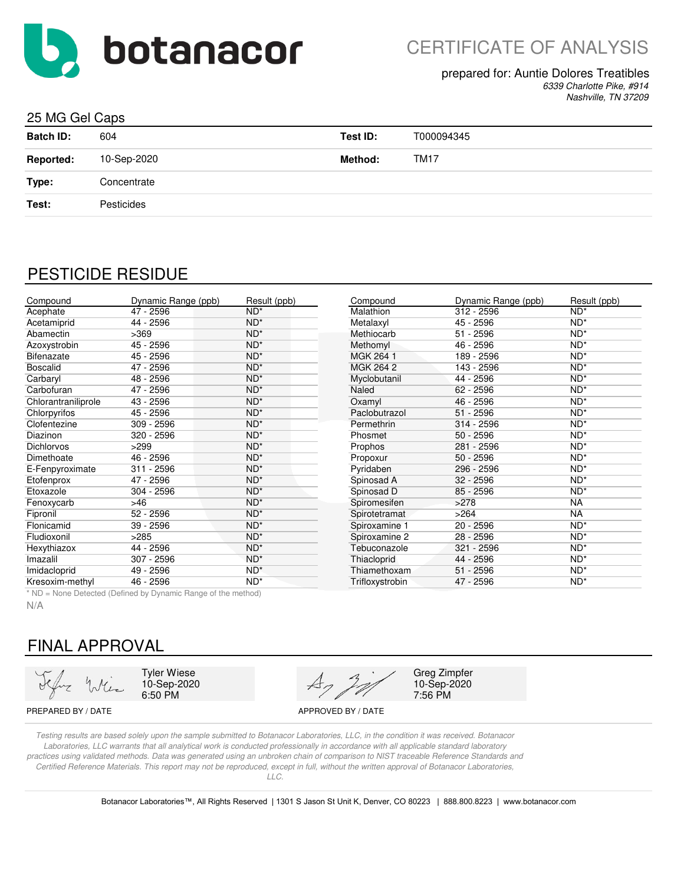

# CERTIFICATE OF ANALYSIS

#### prepared for: Auntie Dolores Treatibles

*6339 Charlotte Pike, #914 Nashville, TN 37209*

#### 25 MG Gel Caps

| <b>Batch ID:</b> | 604         | Test ID:       | T000094345  |
|------------------|-------------|----------------|-------------|
| <b>Reported:</b> | 10-Sep-2020 | <b>Method:</b> | <b>TM17</b> |
| Type:            | Concentrate |                |             |
| Test:            | Pesticides  |                |             |
|                  |             |                |             |

## PESTICIDE RESIDUE

| Compound            | Dynamic Range (ppb) | Result (ppb) | Compound        | Dynamic Range (ppb) | Result (ppb) |
|---------------------|---------------------|--------------|-----------------|---------------------|--------------|
| Acephate            | 47 - 2596           | $ND^*$       | Malathion       | $312 - 2596$        | $ND^*$       |
| Acetamiprid         | 44 - 2596           | $ND^*$       | Metalaxyl       | 45 - 2596           | $ND^*$       |
| Abamectin           | >369                | $ND^*$       | Methiocarb      | $51 - 2596$         | $ND^*$       |
| Azoxystrobin        | 45 - 2596           | $ND^*$       | Methomyl        | 46 - 2596           | $ND^*$       |
| Bifenazate          | 45 - 2596           | $ND^*$       | MGK 264 1       | 189 - 2596          | $ND^*$       |
| <b>Boscalid</b>     | 47 - 2596           | $ND^*$       | MGK 264 2       | 143 - 2596          | $ND^*$       |
| Carbaryl            | 48 - 2596           | $ND^*$       | Myclobutanil    | 44 - 2596           | $ND^*$       |
| Carbofuran          | 47 - 2596           | $ND^*$       | Naled           | 62 - 2596           | $ND^*$       |
| Chlorantraniliprole | 43 - 2596           | $ND^*$       | Oxamyl          | 46 - 2596           | $ND^*$       |
| Chlorpyrifos        | 45 - 2596           | $ND^*$       | Paclobutrazol   | $51 - 2596$         | $ND^*$       |
| Clofentezine        | 309 - 2596          | $ND^*$       | Permethrin      | 314 - 2596          | $ND^*$       |
| Diazinon            | 320 - 2596          | $ND^*$       | Phosmet         | $50 - 2596$         | $ND^*$       |
| <b>Dichlorvos</b>   | >299                | $ND^*$       | Prophos         | 281 - 2596          | $ND^*$       |
| Dimethoate          | 46 - 2596           | $ND^*$       | Propoxur        | $50 - 2596$         | $ND^*$       |
| E-Fenpyroximate     | $311 - 2596$        | $ND^*$       | Pyridaben       | 296 - 2596          | $ND^*$       |
| Etofenprox          | 47 - 2596           | $ND^*$       | Spinosad A      | $32 - 2596$         | $ND^*$       |
| Etoxazole           | 304 - 2596          | $ND^*$       | Spinosad D      | 85 - 2596           | $ND^*$       |
| Fenoxycarb          | >46                 | $ND^*$       | Spiromesifen    | >278                | <b>NA</b>    |
| Fipronil            | $52 - 2596$         | $ND^*$       | Spirotetramat   | >264                | <b>NA</b>    |
| Flonicamid          | 39 - 2596           | $ND^*$       | Spiroxamine 1   | 20 - 2596           | $ND^*$       |
| Fludioxonil         | >285                | $ND^*$       | Spiroxamine 2   | 28 - 2596           | $ND^*$       |
| Hexythiazox         | 44 - 2596           | $ND^*$       | Tebuconazole    | 321 - 2596          | $ND^*$       |
| Imazalil            | 307 - 2596          | $ND^*$       | Thiacloprid     | 44 - 2596           | $ND^*$       |
| Imidacloprid        | 49 - 2596           | $ND^*$       | Thiamethoxam    | $51 - 2596$         | $ND^*$       |
| Kresoxim-methyl     | 46 - 2596           | $ND^*$       | Trifloxystrobin | 47 - 2596           | $ND^*$       |

\* ND = None Detected (Defined by Dynamic Range of the method)

N/A

# FINAL APPROVAL

Tyler Wiese 10-Sep-2020 6:50 PM



Greg Zimpfer 10-Sep-2020 7:56 PM

PREPARED BY / DATE APPROVED BY / DATE

*Testing results are based solely upon the sample submitted to Botanacor Laboratories, LLC, in the condition it was received. Botanacor Laboratories, LLC warrants that all analytical work is conducted professionally in accordance with all applicable standard laboratory practices using validated methods. Data was generated using an unbroken chain of comparison to NIST traceable Reference Standards and Certified Reference Materials. This report may not be reproduced, except in full, without the written approval of Botanacor Laboratories, LLC.*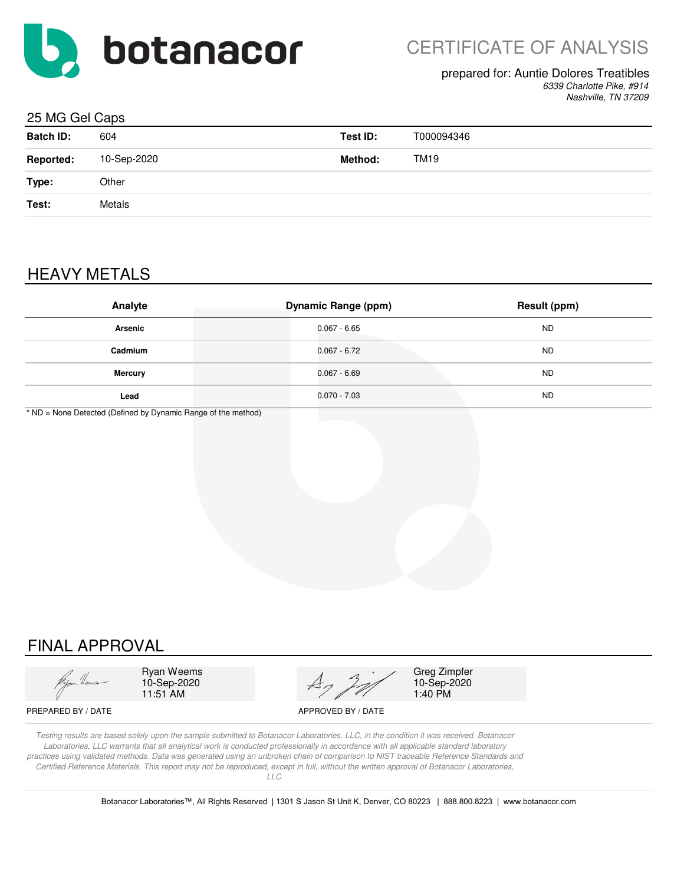

#### prepared for: Auntie Dolores Treatibles

*6339 Charlotte Pike, #914 Nashville, TN 37209*

#### 25 MG Gel Caps

| <b>Batch ID:</b> | 604         | Test ID: | T000094346 |
|------------------|-------------|----------|------------|
| <b>Reported:</b> | 10-Sep-2020 | Method:  | TM19       |
| Type:            | Other       |          |            |
| Test:            | Metals      |          |            |
|                  |             |          |            |

# HEAVY METALS

| Analyte        | <b>Dynamic Range (ppm)</b> | Result (ppm) |
|----------------|----------------------------|--------------|
| <b>Arsenic</b> | $0.067 - 6.65$             | <b>ND</b>    |
| Cadmium        | $0.067 - 6.72$             | <b>ND</b>    |
| <b>Mercury</b> | $0.067 - 6.69$             | <b>ND</b>    |
| Lead           | $0.070 - 7.03$             | <b>ND</b>    |

\* ND = None Detected (Defined by Dynamic Range of the method)

# FINAL APPROVAL

Ryan Weems 10-Sep-2020 11:51 AM



Greg Zimpfer 10-Sep-2020 1:40 PM

PREPARED BY / DATE APPROVED BY / DATE

*Testing results are based solely upon the sample submitted to Botanacor Laboratories, LLC, in the condition it was received. Botanacor Laboratories, LLC warrants that all analytical work is conducted professionally in accordance with all applicable standard laboratory practices using validated methods. Data was generated using an unbroken chain of comparison to NIST traceable Reference Standards and Certified Reference Materials. This report may not be reproduced, except in full, without the written approval of Botanacor Laboratories, LLC.*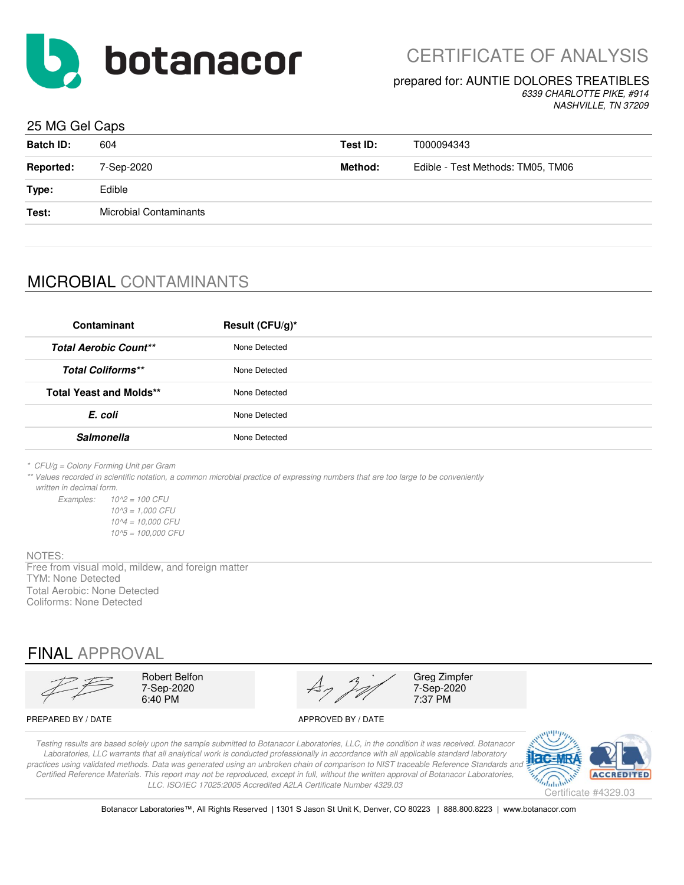

#### prepared for: AUNTIE DOLORES TREATIBLES

*6339 CHARLOTTE PIKE, #914 NASHVILLE, TN 37209*

#### 25 MG Gel Caps

| <b>Batch ID:</b> | 604                    | Test ID: | T000094343                        |
|------------------|------------------------|----------|-----------------------------------|
| <b>Reported:</b> | 7-Sep-2020             | Method:  | Edible - Test Methods: TM05, TM06 |
| Type:            | Edible                 |          |                                   |
| Test:            | Microbial Contaminants |          |                                   |
|                  |                        |          |                                   |

# MICROBIAL CONTAMINANTS

| Contaminant                    | Result (CFU/g)* |
|--------------------------------|-----------------|
| <b>Total Aerobic Count**</b>   | None Detected   |
| <b>Total Coliforms**</b>       | None Detected   |
| <b>Total Yeast and Molds**</b> | None Detected   |
| E. coli                        | None Detected   |
| <b>Salmonella</b>              | None Detected   |
|                                |                 |

*\* CFU/g = Colony Forming Unit per Gram*

*\*\* Values recorded in scientific notation, a common microbial practice of expressing numbers that are too large to be conveniently written in decimal form.*

*Examples: 10^2 = 100 CFU 10^3 = 1,000 CFU 10^4 = 10,000 CFU 10^5 = 100,000 CFU*

#### NOTES:

Free from visual mold, mildew, and foreign matter TYM: None Detected Total Aerobic: None Detected Coliforms: None Detected

## FINAL APPROVAL

Robert Belfon<br>
7-Sep-2020<br>  $A_7$   $A_7$   $A_7$   $A_7$   $A_8$   $A_9$   $A_{100}$   $A_{110}$   $A_{120}$   $A_{130}$   $A_{140}$   $A_{150}$   $A_{160}$   $A_{170}$   $A_{180}$   $A_{190}$   $A_{100}$   $A_{100}$   $A_{100}$   $A_{100}$   $A_{100}$   $A_{100}$   $A_{110}$   $A_{10$ 7-Sep-2020  $\overrightarrow{A7}$  7-Sep-2020<br>6:40 PM 7:37 PM 6:40 PM 7:37 PM

PREPARED BY / DATE APPROVED BY / DATE

*Testing results are based solely upon the sample submitted to Botanacor Laboratories, LLC, in the condition it was received. Botanacor Laboratories, LLC warrants that all analytical work is conducted professionally in accordance with all applicable standard laboratory*  practices using validated methods. Data was generated using an unbroken chain of comparison to NIST traceable Reference Standards and *Certified Reference Materials. This report may not be reproduced, except in full, without the written approval of Botanacor Laboratories, LLC. ISO/IEC 17025:2005 Accredited A2LA Certificate Number 4329.03*



Botanacor Laboratories™, All Rights Reserved | 1301 S Jason St Unit K, Denver, CO 80223 | 888.800.8223 | www.botanacor.com